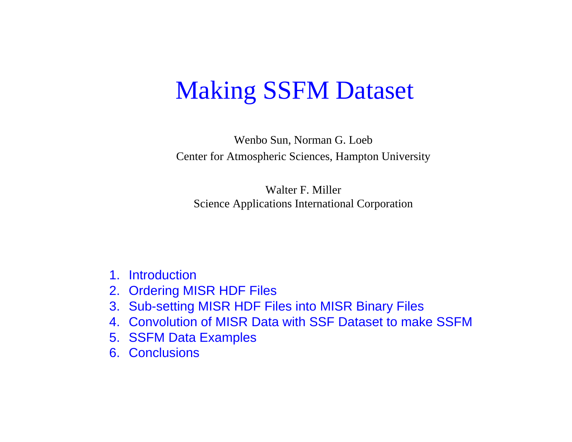### Making SSFM Dataset

Wenbo Sun, Norman G. Loeb Center for Atmospheric Sciences, Hampton University

Walter F. MillerScience Applications International Corporation

- 1. Introduction
- 2. Ordering MISR HDF Files
- 3. Sub-setting MISR HDF Files into MISR Binary Files
- 4. Convolution of MISR Data with SSF Dataset to make SSFM
- 5. SSFM Data Examples
- 6. Conclusions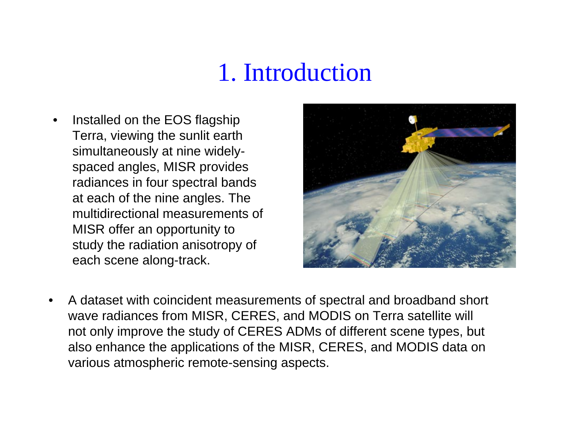### 1. Introduction

• Installed on the EOS flagship Terra, viewing the sunlit earth simultaneously at nine widelyspaced angles, MISR provides radiances in four spectral bands at each of the nine angles. The multidirectional measurements of MISR offer an opportunity to study the radiation anisotropy of each scene along-track.



• A dataset with coincident measurements of spectral and broadband short wave radiances from MISR, CERES, and MODIS on Terra satellite will not only improve the study of CERES ADMs of different scene types, but also enhance the applications of the MISR, CERES, and MODIS data on various atmospheric remote-sensing aspects.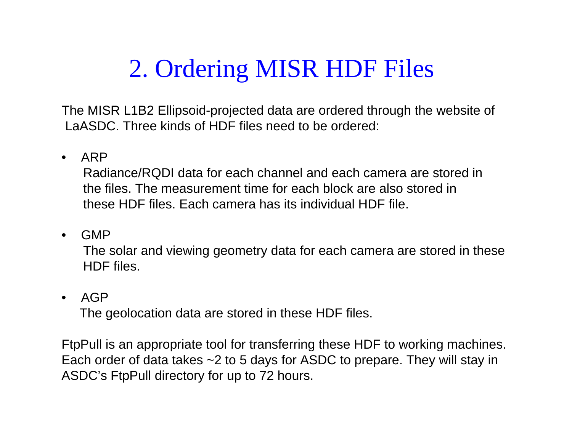### 2. Ordering MISR HDF Files

The MISR L1B2 Ellipsoid-projected data are ordered through the website of LaASDC. Three kinds of HDF files need to be ordered:

 $\bullet$ ARP

> Radiance/RQDI data for each channel and each camera are stored in the files. The measurement time for each block are also stored in these HDF files. Each camera has its individual HDF file.

 $\bullet$ GMP

> The solar and viewing geometry data for each camera are stored in these HDF files.

• AGP

The geolocation data are stored in these HDF files.

FtpPull is an appropriate tool for transferring these HDF to working machines. Each order of data takes ~2 to 5 days for ASDC to prepare. They will stay in ASDC's FtpPull directory for up to 72 hours.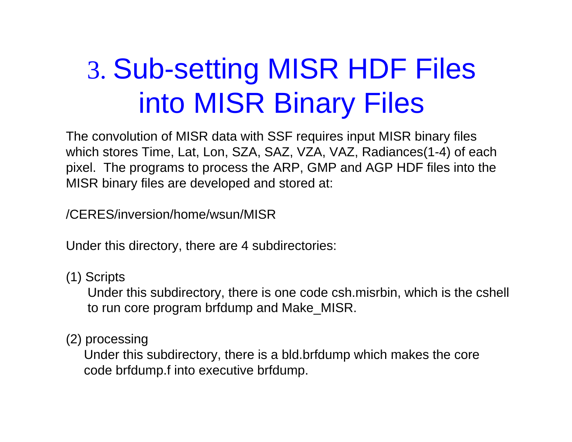## 3. Sub-setting MISR HDF Files into MISR Binary Files

The convolution of MISR data with SSF requires input MISR binary files which stores Time, Lat, Lon, SZA, SAZ, VZA, VAZ, Radiances(1-4) of each pixel. The programs to process the ARP, GMP and AGP HDF files into the MISR binary files are developed and stored at:

/CERES/inversion/home/wsun/MISR

Under this directory, there are 4 subdirectories:

(1) Scripts

Under this subdirectory, there is one code csh.misrbin, which is the cshell to run core program brfdump and Make\_MISR.

(2) processing

Under this subdirectory, there is a bld.brfdump which makes the core code brfdump.f into executive brfdump.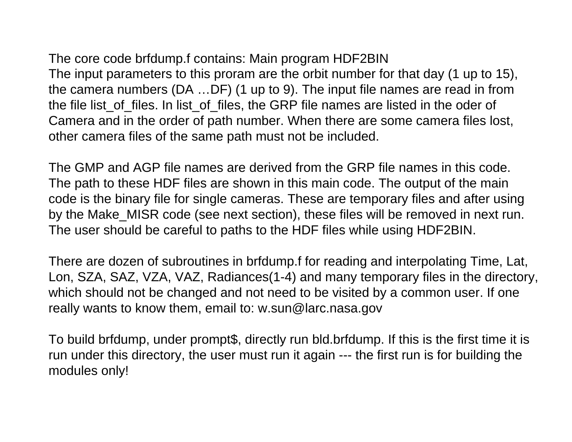#### The core code brfdump.f contains: Main program HDF2BIN

The input parameters to this proram are the orbit number for that day (1 up to 15), the camera numbers (DA …DF) (1 up to 9). The input file names are read in from the file list\_of\_files. In list\_of\_files, the GRP file names are listed in the oder of Camera and in the order of path number. When there are some camera files lost, other camera files of the same path must not be included.

The GMP and AGP file names are derived from the GRP file names in this code. The path to these HDF files are shown in this main code. The output of the main code is the binary file for single cameras. These are temporary files and after using by the Make\_MISR code (see next section), these files will be removed in next run. The user should be careful to paths to the HDF files while using HDF2BIN.

There are dozen of subroutines in brfdump.f for reading and interpolating Time, Lat, Lon, SZA, SAZ, VZA, VAZ, Radiances(1-4) and many temporary files in the directory, which should not be changed and not need to be visited by a common user. If one really wants to know them, email to: w.sun@larc.nasa.gov

To build brfdump, under prompt\$, directly run bld.brfdump. If this is the first time it is run under this directory, the user must run it again --- the first run is for building the modules only!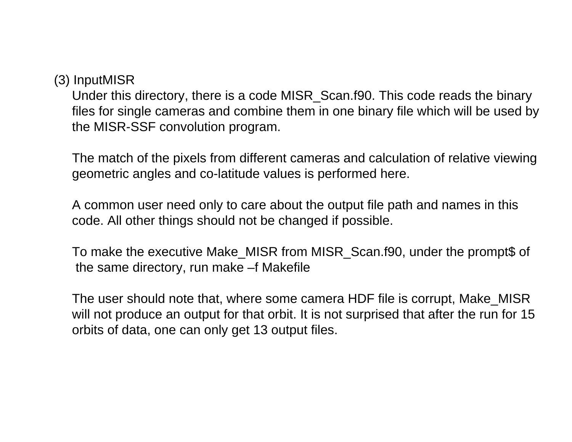#### (3) InputMISR

Under this directory, there is a code MISR\_Scan.f90. This code reads the binary files for single cameras and combine them in one binary file which will be used by the MISR-SSF convolution program.

The match of the pixels from different cameras and calculation of relative viewing geometric angles and co-latitude values is performed here.

A common user need only to care about the output file path and names in this code. All other things should not be changed if possible.

To make the executive Make\_MISR from MISR\_Scan.f90, under the prompt\$ of the same directory, run make –f Makefile

The user should note that, where some camera HDF file is corrupt, Make\_MISR will not produce an output for that orbit. It is not surprised that after the run for 15 orbits of data, one can only get 13 output files.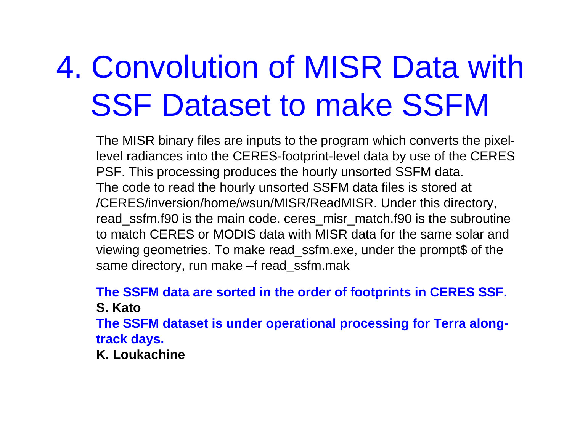# 4. Convolution of MISR Data with SSF Dataset to make SSFM

The MISR binary files are inputs to the program which converts the pixellevel radiances into the CERES-footprint-level data by use of the CERES PSF. This processing produces the hourly unsorted SSFM data. The code to read the hourly unsorted SSFM data files is stored at /CERES/inversion/home/wsun/MISR/ReadMISR. Under this directory, read ssfm.f90 is the main code. ceres misr match.f90 is the subroutine to match CERES or MODIS data with MISR data for the same solar and viewing geometries. To make read\_ssfm.exe, under the prompt\$ of the same directory, run make –f read\_ssfm.mak

#### **The SSFM data are sorted in the order of footprints in CERES SSF. S. Kato**

**The SSFM dataset is under operational processing for Terra alongtrack days.**

**K. Loukachine**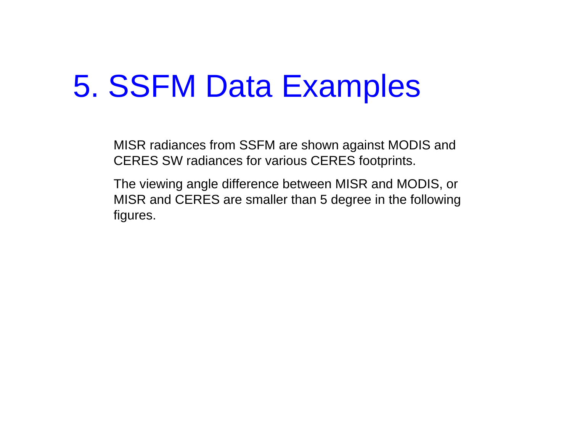## 5. SSFM Data Examples

MISR radiances from SSFM are shown against MODIS and CERES SW radiances for various CERES footprints.

The viewing angle difference between MISR and MODIS, or MISR and CERES are smaller than 5 degree in the following figures.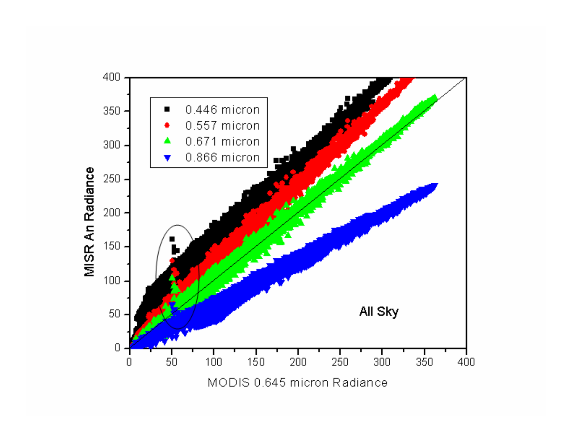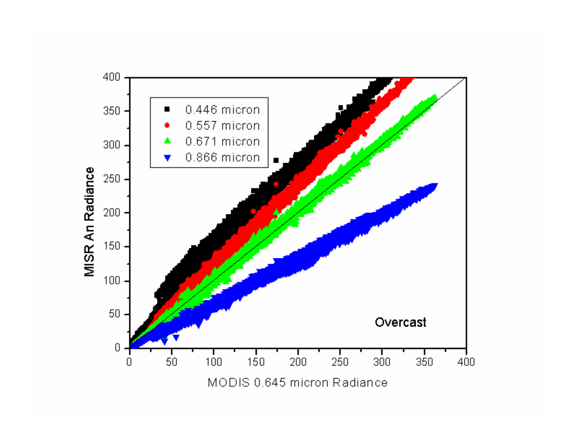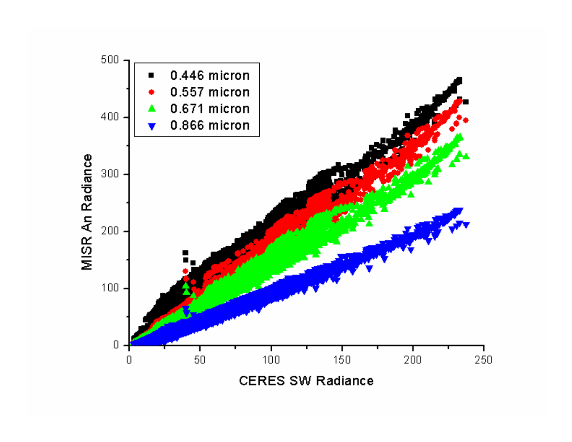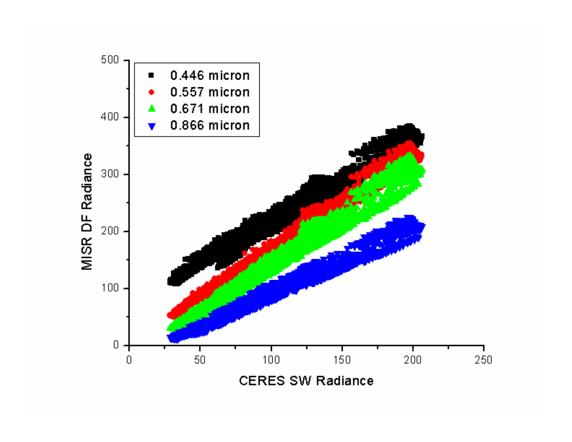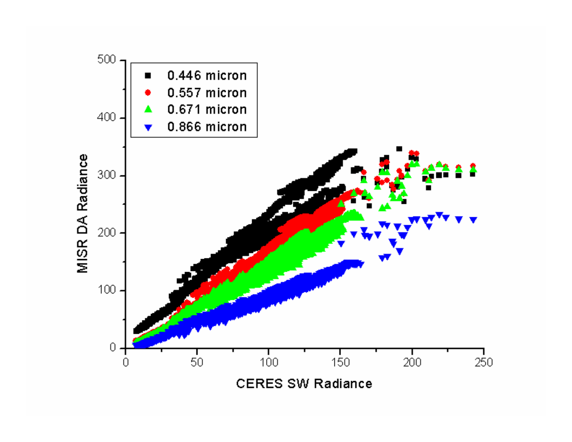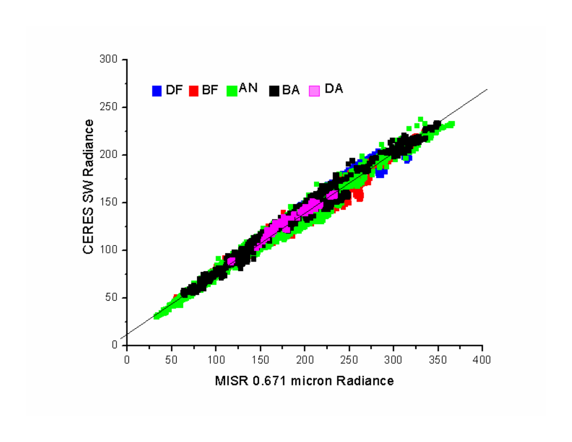